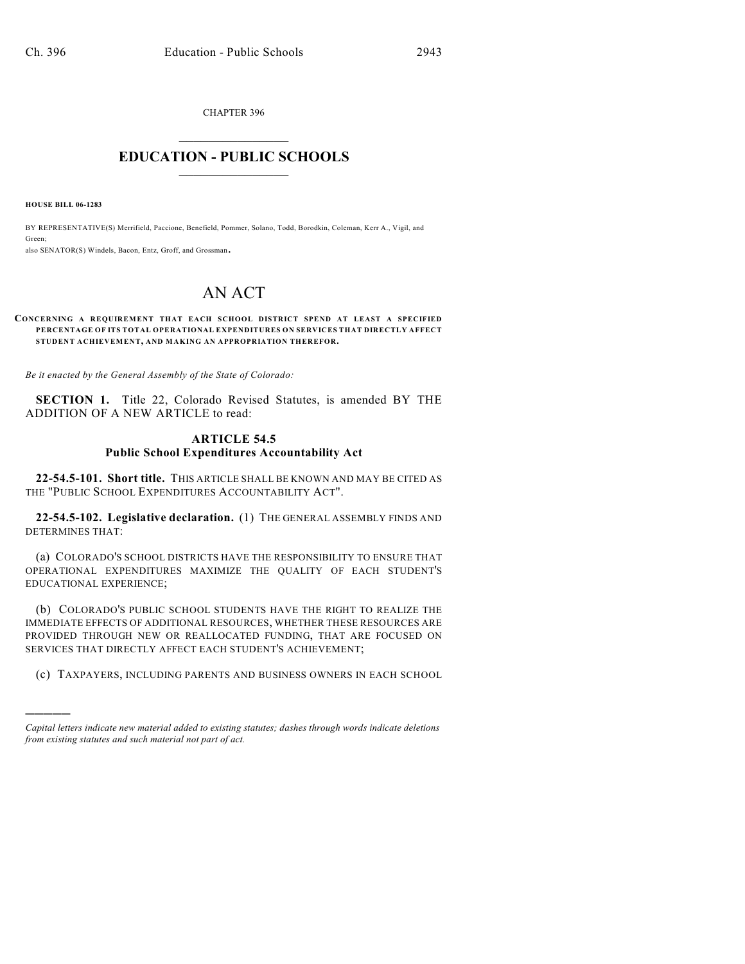CHAPTER 396  $\overline{\phantom{a}}$  . The set of the set of the set of the set of the set of the set of the set of the set of the set of the set of the set of the set of the set of the set of the set of the set of the set of the set of the set o

## **EDUCATION - PUBLIC SCHOOLS**  $\_$   $\_$   $\_$   $\_$   $\_$   $\_$   $\_$   $\_$   $\_$

**HOUSE BILL 06-1283**

)))))

BY REPRESENTATIVE(S) Merrifield, Paccione, Benefield, Pommer, Solano, Todd, Borodkin, Coleman, Kerr A., Vigil, and Green;

also SENATOR(S) Windels, Bacon, Entz, Groff, and Grossman.

## AN ACT

## **CONCERNING A REQUIREMENT THAT EACH SCHOOL DISTRICT SPEND AT LEAST A SPECIFIED PERCENTAGE OF ITS TOTAL OPERATIONAL EXPENDITURES ON SERVICES THAT DIRECTLY AFFECT STUDENT ACHIEVEMENT, AND MAKING AN APPROPRIATION THEREFOR.**

*Be it enacted by the General Assembly of the State of Colorado:*

**SECTION 1.** Title 22, Colorado Revised Statutes, is amended BY THE ADDITION OF A NEW ARTICLE to read:

## **ARTICLE 54.5 Public School Expenditures Accountability Act**

**22-54.5-101. Short title.** THIS ARTICLE SHALL BE KNOWN AND MAY BE CITED AS THE "PUBLIC SCHOOL EXPENDITURES ACCOUNTABILITY ACT".

**22-54.5-102. Legislative declaration.** (1) THE GENERAL ASSEMBLY FINDS AND DETERMINES THAT:

(a) COLORADO'S SCHOOL DISTRICTS HAVE THE RESPONSIBILITY TO ENSURE THAT OPERATIONAL EXPENDITURES MAXIMIZE THE QUALITY OF EACH STUDENT'S EDUCATIONAL EXPERIENCE;

(b) COLORADO'S PUBLIC SCHOOL STUDENTS HAVE THE RIGHT TO REALIZE THE IMMEDIATE EFFECTS OF ADDITIONAL RESOURCES, WHETHER THESE RESOURCES ARE PROVIDED THROUGH NEW OR REALLOCATED FUNDING, THAT ARE FOCUSED ON SERVICES THAT DIRECTLY AFFECT EACH STUDENT'S ACHIEVEMENT;

(c) TAXPAYERS, INCLUDING PARENTS AND BUSINESS OWNERS IN EACH SCHOOL

*Capital letters indicate new material added to existing statutes; dashes through words indicate deletions from existing statutes and such material not part of act.*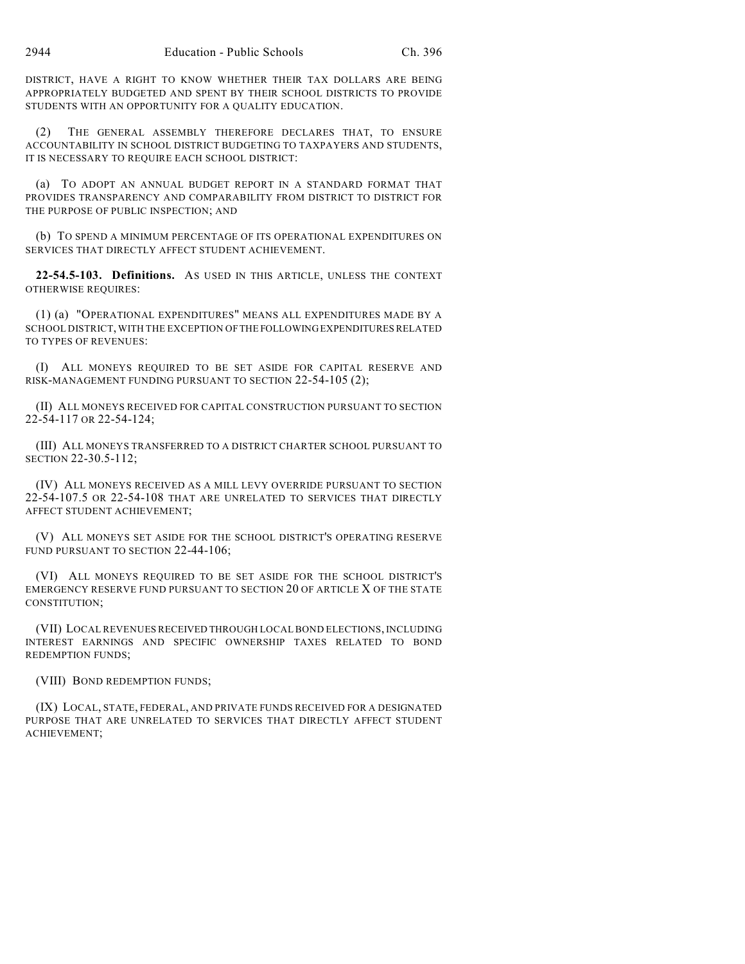DISTRICT, HAVE A RIGHT TO KNOW WHETHER THEIR TAX DOLLARS ARE BEING APPROPRIATELY BUDGETED AND SPENT BY THEIR SCHOOL DISTRICTS TO PROVIDE STUDENTS WITH AN OPPORTUNITY FOR A QUALITY EDUCATION.

(2) THE GENERAL ASSEMBLY THEREFORE DECLARES THAT, TO ENSURE ACCOUNTABILITY IN SCHOOL DISTRICT BUDGETING TO TAXPAYERS AND STUDENTS, IT IS NECESSARY TO REQUIRE EACH SCHOOL DISTRICT:

(a) TO ADOPT AN ANNUAL BUDGET REPORT IN A STANDARD FORMAT THAT PROVIDES TRANSPARENCY AND COMPARABILITY FROM DISTRICT TO DISTRICT FOR THE PURPOSE OF PUBLIC INSPECTION; AND

(b) TO SPEND A MINIMUM PERCENTAGE OF ITS OPERATIONAL EXPENDITURES ON SERVICES THAT DIRECTLY AFFECT STUDENT ACHIEVEMENT.

**22-54.5-103. Definitions.** AS USED IN THIS ARTICLE, UNLESS THE CONTEXT OTHERWISE REQUIRES:

(1) (a) "OPERATIONAL EXPENDITURES" MEANS ALL EXPENDITURES MADE BY A SCHOOL DISTRICT, WITH THE EXCEPTION OF THE FOLLOWING EXPENDITURES RELATED TO TYPES OF REVENUES:

(I) ALL MONEYS REQUIRED TO BE SET ASIDE FOR CAPITAL RESERVE AND RISK-MANAGEMENT FUNDING PURSUANT TO SECTION 22-54-105 (2);

(II) ALL MONEYS RECEIVED FOR CAPITAL CONSTRUCTION PURSUANT TO SECTION 22-54-117 OR 22-54-124;

(III) ALL MONEYS TRANSFERRED TO A DISTRICT CHARTER SCHOOL PURSUANT TO SECTION 22-30.5-112;

(IV) ALL MONEYS RECEIVED AS A MILL LEVY OVERRIDE PURSUANT TO SECTION 22-54-107.5 OR 22-54-108 THAT ARE UNRELATED TO SERVICES THAT DIRECTLY AFFECT STUDENT ACHIEVEMENT;

(V) ALL MONEYS SET ASIDE FOR THE SCHOOL DISTRICT'S OPERATING RESERVE FUND PURSUANT TO SECTION 22-44-106;

(VI) ALL MONEYS REQUIRED TO BE SET ASIDE FOR THE SCHOOL DISTRICT'S EMERGENCY RESERVE FUND PURSUANT TO SECTION 20 OF ARTICLE X OF THE STATE CONSTITUTION;

(VII) LOCAL REVENUES RECEIVED THROUGH LOCAL BOND ELECTIONS, INCLUDING INTEREST EARNINGS AND SPECIFIC OWNERSHIP TAXES RELATED TO BOND REDEMPTION FUNDS;

(VIII) BOND REDEMPTION FUNDS;

(IX) LOCAL, STATE, FEDERAL, AND PRIVATE FUNDS RECEIVED FOR A DESIGNATED PURPOSE THAT ARE UNRELATED TO SERVICES THAT DIRECTLY AFFECT STUDENT ACHIEVEMENT;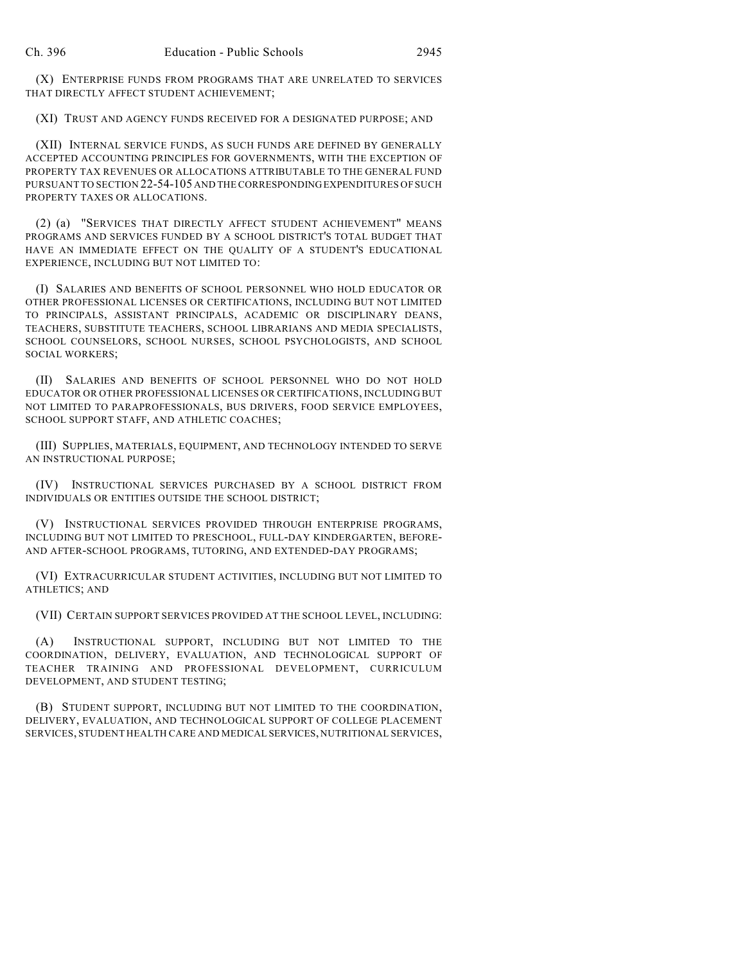(X) ENTERPRISE FUNDS FROM PROGRAMS THAT ARE UNRELATED TO SERVICES THAT DIRECTLY AFFECT STUDENT ACHIEVEMENT;

(XI) TRUST AND AGENCY FUNDS RECEIVED FOR A DESIGNATED PURPOSE; AND

(XII) INTERNAL SERVICE FUNDS, AS SUCH FUNDS ARE DEFINED BY GENERALLY ACCEPTED ACCOUNTING PRINCIPLES FOR GOVERNMENTS, WITH THE EXCEPTION OF PROPERTY TAX REVENUES OR ALLOCATIONS ATTRIBUTABLE TO THE GENERAL FUND PURSUANT TO SECTION 22-54-105 AND THE CORRESPONDING EXPENDITURES OF SUCH PROPERTY TAXES OR ALLOCATIONS.

(2) (a) "SERVICES THAT DIRECTLY AFFECT STUDENT ACHIEVEMENT" MEANS PROGRAMS AND SERVICES FUNDED BY A SCHOOL DISTRICT'S TOTAL BUDGET THAT HAVE AN IMMEDIATE EFFECT ON THE QUALITY OF A STUDENT'S EDUCATIONAL EXPERIENCE, INCLUDING BUT NOT LIMITED TO:

(I) SALARIES AND BENEFITS OF SCHOOL PERSONNEL WHO HOLD EDUCATOR OR OTHER PROFESSIONAL LICENSES OR CERTIFICATIONS, INCLUDING BUT NOT LIMITED TO PRINCIPALS, ASSISTANT PRINCIPALS, ACADEMIC OR DISCIPLINARY DEANS, TEACHERS, SUBSTITUTE TEACHERS, SCHOOL LIBRARIANS AND MEDIA SPECIALISTS, SCHOOL COUNSELORS, SCHOOL NURSES, SCHOOL PSYCHOLOGISTS, AND SCHOOL SOCIAL WORKERS;

(II) SALARIES AND BENEFITS OF SCHOOL PERSONNEL WHO DO NOT HOLD EDUCATOR OR OTHER PROFESSIONAL LICENSES OR CERTIFICATIONS, INCLUDING BUT NOT LIMITED TO PARAPROFESSIONALS, BUS DRIVERS, FOOD SERVICE EMPLOYEES, SCHOOL SUPPORT STAFF, AND ATHLETIC COACHES;

(III) SUPPLIES, MATERIALS, EQUIPMENT, AND TECHNOLOGY INTENDED TO SERVE AN INSTRUCTIONAL PURPOSE;

(IV) INSTRUCTIONAL SERVICES PURCHASED BY A SCHOOL DISTRICT FROM INDIVIDUALS OR ENTITIES OUTSIDE THE SCHOOL DISTRICT;

(V) INSTRUCTIONAL SERVICES PROVIDED THROUGH ENTERPRISE PROGRAMS, INCLUDING BUT NOT LIMITED TO PRESCHOOL, FULL-DAY KINDERGARTEN, BEFORE-AND AFTER-SCHOOL PROGRAMS, TUTORING, AND EXTENDED-DAY PROGRAMS;

(VI) EXTRACURRICULAR STUDENT ACTIVITIES, INCLUDING BUT NOT LIMITED TO ATHLETICS; AND

(VII) CERTAIN SUPPORT SERVICES PROVIDED AT THE SCHOOL LEVEL, INCLUDING:

(A) INSTRUCTIONAL SUPPORT, INCLUDING BUT NOT LIMITED TO THE COORDINATION, DELIVERY, EVALUATION, AND TECHNOLOGICAL SUPPORT OF TEACHER TRAINING AND PROFESSIONAL DEVELOPMENT, CURRICULUM DEVELOPMENT, AND STUDENT TESTING;

(B) STUDENT SUPPORT, INCLUDING BUT NOT LIMITED TO THE COORDINATION, DELIVERY, EVALUATION, AND TECHNOLOGICAL SUPPORT OF COLLEGE PLACEMENT SERVICES, STUDENT HEALTH CARE AND MEDICAL SERVICES, NUTRITIONAL SERVICES,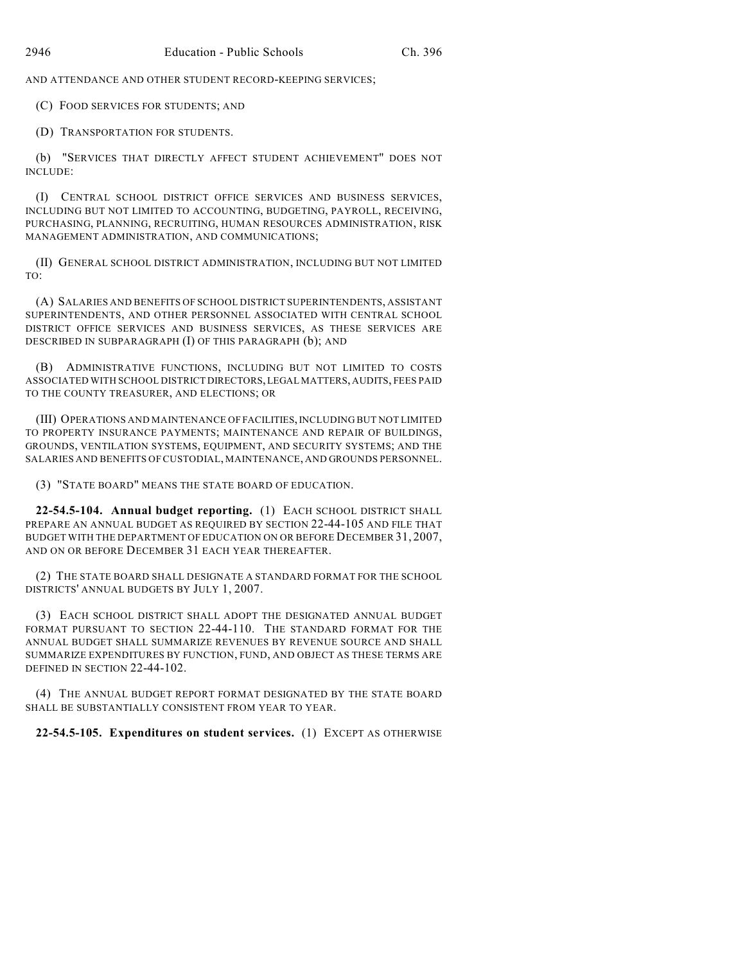AND ATTENDANCE AND OTHER STUDENT RECORD-KEEPING SERVICES;

(C) FOOD SERVICES FOR STUDENTS; AND

(D) TRANSPORTATION FOR STUDENTS.

(b) "SERVICES THAT DIRECTLY AFFECT STUDENT ACHIEVEMENT" DOES NOT INCLUDE:

(I) CENTRAL SCHOOL DISTRICT OFFICE SERVICES AND BUSINESS SERVICES, INCLUDING BUT NOT LIMITED TO ACCOUNTING, BUDGETING, PAYROLL, RECEIVING, PURCHASING, PLANNING, RECRUITING, HUMAN RESOURCES ADMINISTRATION, RISK MANAGEMENT ADMINISTRATION, AND COMMUNICATIONS;

(II) GENERAL SCHOOL DISTRICT ADMINISTRATION, INCLUDING BUT NOT LIMITED TO:

(A) SALARIES AND BENEFITS OF SCHOOL DISTRICT SUPERINTENDENTS, ASSISTANT SUPERINTENDENTS, AND OTHER PERSONNEL ASSOCIATED WITH CENTRAL SCHOOL DISTRICT OFFICE SERVICES AND BUSINESS SERVICES, AS THESE SERVICES ARE DESCRIBED IN SUBPARAGRAPH (I) OF THIS PARAGRAPH (b); AND

(B) ADMINISTRATIVE FUNCTIONS, INCLUDING BUT NOT LIMITED TO COSTS ASSOCIATED WITH SCHOOL DISTRICT DIRECTORS, LEGAL MATTERS, AUDITS, FEES PAID TO THE COUNTY TREASURER, AND ELECTIONS; OR

(III) OPERATIONS AND MAINTENANCE OF FACILITIES, INCLUDING BUT NOT LIMITED TO PROPERTY INSURANCE PAYMENTS; MAINTENANCE AND REPAIR OF BUILDINGS, GROUNDS, VENTILATION SYSTEMS, EQUIPMENT, AND SECURITY SYSTEMS; AND THE SALARIES AND BENEFITS OF CUSTODIAL, MAINTENANCE, AND GROUNDS PERSONNEL.

(3) "STATE BOARD" MEANS THE STATE BOARD OF EDUCATION.

**22-54.5-104. Annual budget reporting.** (1) EACH SCHOOL DISTRICT SHALL PREPARE AN ANNUAL BUDGET AS REQUIRED BY SECTION 22-44-105 AND FILE THAT BUDGET WITH THE DEPARTMENT OF EDUCATION ON OR BEFORE DECEMBER 31, 2007, AND ON OR BEFORE DECEMBER 31 EACH YEAR THEREAFTER.

(2) THE STATE BOARD SHALL DESIGNATE A STANDARD FORMAT FOR THE SCHOOL DISTRICTS' ANNUAL BUDGETS BY JULY 1, 2007.

(3) EACH SCHOOL DISTRICT SHALL ADOPT THE DESIGNATED ANNUAL BUDGET FORMAT PURSUANT TO SECTION 22-44-110. THE STANDARD FORMAT FOR THE ANNUAL BUDGET SHALL SUMMARIZE REVENUES BY REVENUE SOURCE AND SHALL SUMMARIZE EXPENDITURES BY FUNCTION, FUND, AND OBJECT AS THESE TERMS ARE DEFINED IN SECTION 22-44-102.

(4) THE ANNUAL BUDGET REPORT FORMAT DESIGNATED BY THE STATE BOARD SHALL BE SUBSTANTIALLY CONSISTENT FROM YEAR TO YEAR.

**22-54.5-105. Expenditures on student services.** (1) EXCEPT AS OTHERWISE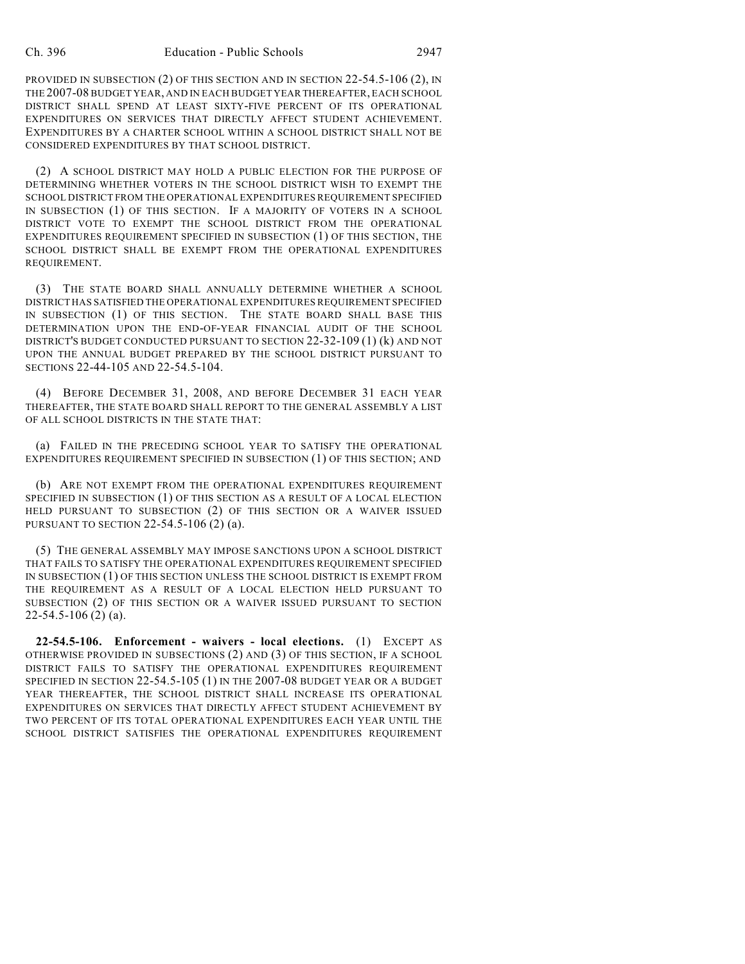PROVIDED IN SUBSECTION (2) OF THIS SECTION AND IN SECTION 22-54.5-106 (2), IN THE 2007-08 BUDGET YEAR, AND IN EACH BUDGET YEAR THEREAFTER, EACH SCHOOL DISTRICT SHALL SPEND AT LEAST SIXTY-FIVE PERCENT OF ITS OPERATIONAL EXPENDITURES ON SERVICES THAT DIRECTLY AFFECT STUDENT ACHIEVEMENT. EXPENDITURES BY A CHARTER SCHOOL WITHIN A SCHOOL DISTRICT SHALL NOT BE CONSIDERED EXPENDITURES BY THAT SCHOOL DISTRICT.

(2) A SCHOOL DISTRICT MAY HOLD A PUBLIC ELECTION FOR THE PURPOSE OF DETERMINING WHETHER VOTERS IN THE SCHOOL DISTRICT WISH TO EXEMPT THE SCHOOL DISTRICT FROM THE OPERATIONAL EXPENDITURES REQUIREMENT SPECIFIED IN SUBSECTION (1) OF THIS SECTION. IF A MAJORITY OF VOTERS IN A SCHOOL DISTRICT VOTE TO EXEMPT THE SCHOOL DISTRICT FROM THE OPERATIONAL EXPENDITURES REQUIREMENT SPECIFIED IN SUBSECTION (1) OF THIS SECTION, THE SCHOOL DISTRICT SHALL BE EXEMPT FROM THE OPERATIONAL EXPENDITURES REQUIREMENT.

(3) THE STATE BOARD SHALL ANNUALLY DETERMINE WHETHER A SCHOOL DISTRICT HAS SATISFIED THE OPERATIONAL EXPENDITURES REQUIREMENT SPECIFIED IN SUBSECTION (1) OF THIS SECTION. THE STATE BOARD SHALL BASE THIS DETERMINATION UPON THE END-OF-YEAR FINANCIAL AUDIT OF THE SCHOOL DISTRICT'S BUDGET CONDUCTED PURSUANT TO SECTION 22-32-109 (1) (k) AND NOT UPON THE ANNUAL BUDGET PREPARED BY THE SCHOOL DISTRICT PURSUANT TO SECTIONS 22-44-105 AND 22-54.5-104.

(4) BEFORE DECEMBER 31, 2008, AND BEFORE DECEMBER 31 EACH YEAR THEREAFTER, THE STATE BOARD SHALL REPORT TO THE GENERAL ASSEMBLY A LIST OF ALL SCHOOL DISTRICTS IN THE STATE THAT:

(a) FAILED IN THE PRECEDING SCHOOL YEAR TO SATISFY THE OPERATIONAL EXPENDITURES REQUIREMENT SPECIFIED IN SUBSECTION (1) OF THIS SECTION; AND

(b) ARE NOT EXEMPT FROM THE OPERATIONAL EXPENDITURES REQUIREMENT SPECIFIED IN SUBSECTION (1) OF THIS SECTION AS A RESULT OF A LOCAL ELECTION HELD PURSUANT TO SUBSECTION (2) OF THIS SECTION OR A WAIVER ISSUED PURSUANT TO SECTION 22-54.5-106 (2) (a).

(5) THE GENERAL ASSEMBLY MAY IMPOSE SANCTIONS UPON A SCHOOL DISTRICT THAT FAILS TO SATISFY THE OPERATIONAL EXPENDITURES REQUIREMENT SPECIFIED IN SUBSECTION (1) OF THIS SECTION UNLESS THE SCHOOL DISTRICT IS EXEMPT FROM THE REQUIREMENT AS A RESULT OF A LOCAL ELECTION HELD PURSUANT TO SUBSECTION (2) OF THIS SECTION OR A WAIVER ISSUED PURSUANT TO SECTION 22-54.5-106 (2) (a).

**22-54.5-106. Enforcement - waivers - local elections.** (1) EXCEPT AS OTHERWISE PROVIDED IN SUBSECTIONS (2) AND (3) OF THIS SECTION, IF A SCHOOL DISTRICT FAILS TO SATISFY THE OPERATIONAL EXPENDITURES REQUIREMENT SPECIFIED IN SECTION 22-54.5-105 (1) IN THE 2007-08 BUDGET YEAR OR A BUDGET YEAR THEREAFTER, THE SCHOOL DISTRICT SHALL INCREASE ITS OPERATIONAL EXPENDITURES ON SERVICES THAT DIRECTLY AFFECT STUDENT ACHIEVEMENT BY TWO PERCENT OF ITS TOTAL OPERATIONAL EXPENDITURES EACH YEAR UNTIL THE SCHOOL DISTRICT SATISFIES THE OPERATIONAL EXPENDITURES REQUIREMENT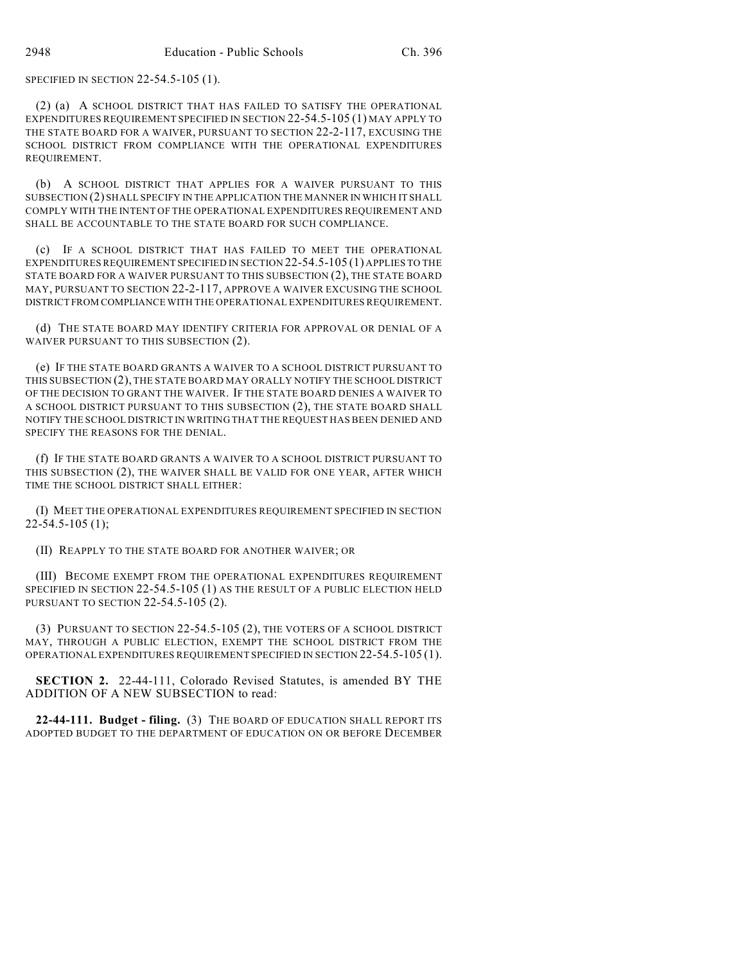SPECIFIED IN SECTION 22-54.5-105 (1).

(2) (a) A SCHOOL DISTRICT THAT HAS FAILED TO SATISFY THE OPERATIONAL EXPENDITURES REQUIREMENT SPECIFIED IN SECTION 22-54.5-105 (1) MAY APPLY TO THE STATE BOARD FOR A WAIVER, PURSUANT TO SECTION 22-2-117, EXCUSING THE SCHOOL DISTRICT FROM COMPLIANCE WITH THE OPERATIONAL EXPENDITURES REQUIREMENT.

(b) A SCHOOL DISTRICT THAT APPLIES FOR A WAIVER PURSUANT TO THIS SUBSECTION (2) SHALL SPECIFY IN THE APPLICATION THE MANNER IN WHICH IT SHALL COMPLY WITH THE INTENT OF THE OPERATIONAL EXPENDITURES REQUIREMENT AND SHALL BE ACCOUNTABLE TO THE STATE BOARD FOR SUCH COMPLIANCE.

(c) IF A SCHOOL DISTRICT THAT HAS FAILED TO MEET THE OPERATIONAL EXPENDITURES REQUIREMENT SPECIFIED IN SECTION 22-54.5-105 (1) APPLIES TO THE STATE BOARD FOR A WAIVER PURSUANT TO THIS SUBSECTION (2), THE STATE BOARD MAY, PURSUANT TO SECTION 22-2-117, APPROVE A WAIVER EXCUSING THE SCHOOL DISTRICT FROM COMPLIANCE WITH THE OPERATIONAL EXPENDITURES REQUIREMENT.

(d) THE STATE BOARD MAY IDENTIFY CRITERIA FOR APPROVAL OR DENIAL OF A WAIVER PURSUANT TO THIS SUBSECTION (2).

(e) IF THE STATE BOARD GRANTS A WAIVER TO A SCHOOL DISTRICT PURSUANT TO THIS SUBSECTION (2), THE STATE BOARD MAY ORALLY NOTIFY THE SCHOOL DISTRICT OF THE DECISION TO GRANT THE WAIVER. IF THE STATE BOARD DENIES A WAIVER TO A SCHOOL DISTRICT PURSUANT TO THIS SUBSECTION (2), THE STATE BOARD SHALL NOTIFY THE SCHOOL DISTRICT IN WRITING THAT THE REQUEST HAS BEEN DENIED AND SPECIFY THE REASONS FOR THE DENIAL.

(f) IF THE STATE BOARD GRANTS A WAIVER TO A SCHOOL DISTRICT PURSUANT TO THIS SUBSECTION (2), THE WAIVER SHALL BE VALID FOR ONE YEAR, AFTER WHICH TIME THE SCHOOL DISTRICT SHALL EITHER:

(I) MEET THE OPERATIONAL EXPENDITURES REQUIREMENT SPECIFIED IN SECTION  $22 - 54.5 - 105(1);$ 

(II) REAPPLY TO THE STATE BOARD FOR ANOTHER WAIVER; OR

(III) BECOME EXEMPT FROM THE OPERATIONAL EXPENDITURES REQUIREMENT SPECIFIED IN SECTION 22-54.5-105 (1) AS THE RESULT OF A PUBLIC ELECTION HELD PURSUANT TO SECTION 22-54.5-105 (2).

(3) PURSUANT TO SECTION 22-54.5-105 (2), THE VOTERS OF A SCHOOL DISTRICT MAY, THROUGH A PUBLIC ELECTION, EXEMPT THE SCHOOL DISTRICT FROM THE OPERATIONAL EXPENDITURES REQUIREMENT SPECIFIED IN SECTION 22-54.5-105 (1).

**SECTION 2.** 22-44-111, Colorado Revised Statutes, is amended BY THE ADDITION OF A NEW SUBSECTION to read:

**22-44-111. Budget - filing.** (3) THE BOARD OF EDUCATION SHALL REPORT ITS ADOPTED BUDGET TO THE DEPARTMENT OF EDUCATION ON OR BEFORE DECEMBER